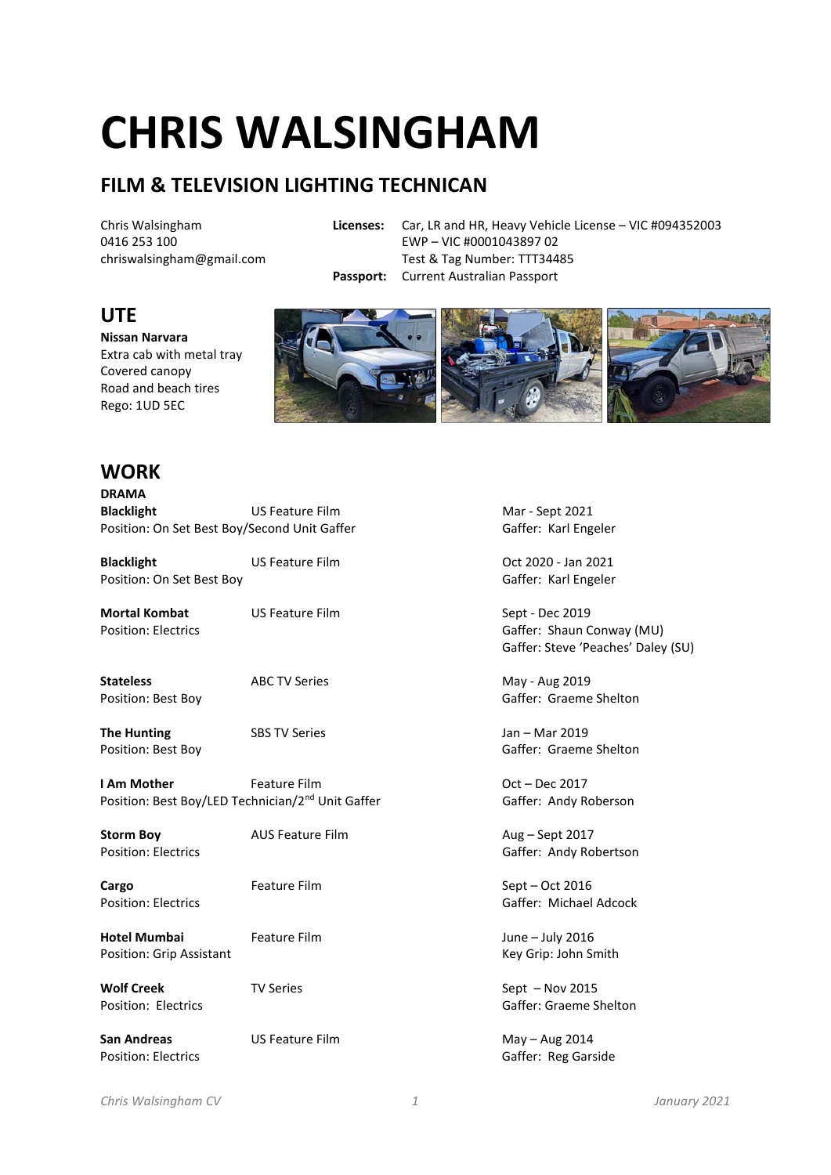# **CHRIS WALSINGHAM**

## **FILM & TELEVISION LIGHTING TECHNICAN**

Chris Walsingham 0416 253 100 chriswalsingham@gmail.com

**Licenses:** Car, LR and HR, Heavy Vehicle License – VIC #094352003

EWP – VIC #0001043897 02

Test & Tag Number: TTT34485 **Passport:** Current Australian Passport

### **UTE**

**Nissan Narvara**  Extra cab with metal tray Covered canopy Road and beach tires Rego: 1UD 5EC



### **WORK**

| DRAMA             |                                              |
|-------------------|----------------------------------------------|
| <b>Blacklight</b> | US Feature Film                              |
|                   | Position: On Set Best Boy/Second Unit Gaffer |

**Blacklight** US Feature Film Oct 2020 - Jan 2021 Position: On Set Best Boy Gaffer: Karl Engeler

**Mortal Kombat** US Feature Film Sept - Dec 2019 Position: Electrics Gaffer: Shaun Conway (MU)

**Stateless** ABC TV Series May - Aug 2019

**The Hunting SBS TV Series Accord Following Series** Jan – Mar 2019

**I Am Mother** Feature Film **Feature Film** Cont – Dec 2017 Position: Best Boy/LED Technician/2<sup>nd</sup> Unit Gaffer Gaffer Gaffer: Andy Roberson

**Storm Boy AUS Feature Film Aug – Sept 2017** 

**Cargo Feature Film Feature Film** Sept – Oct 2016

Hotel Mumbai **Feature Film Hotel Mumbai** *Feature Film* **1** Position: Grip Assistant New York 1980 and New York 1991 and New York 1991 and New York 1991 and New York 1991

**Wolf Creek TV Series** TV Series Sept – Nov 2015<br>
Position: Electrics Sept – Nov 2015

**San Andreas** US Feature Film May – Aug 2014

**Mar - Sept 2021** Gaffer: Karl Engeler

Gaffer: Steve 'Peaches' Daley (SU)

Position: Best Boy Gaffer: Graeme Shelton

Position: Best Boy Gaffer: Graeme Shelton

Position: Electrics **Gaffer: Andy Robertson** 

Position: Electrics Gaffer: Michael Adcock

Gaffer: Graeme Shelton

Position: Electrics Communication: Electrics Communication: Electrics Communication: Gaffer: Reg Garside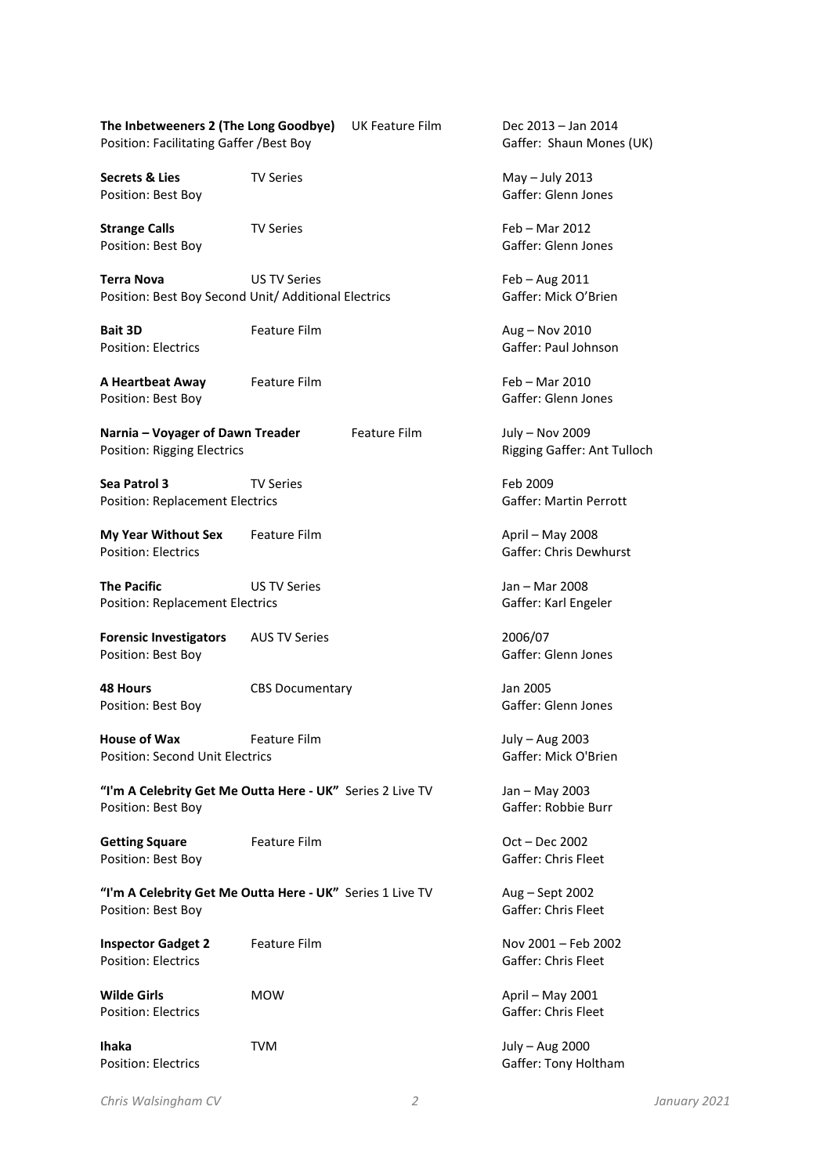| The Inbetweeners 2 (The Long Goodbye)    | UK Feature Film |
|------------------------------------------|-----------------|
| Position: Facilitating Gaffer / Best Boy |                 |

**Secrets & Lies TV Series TV Series** May – July 2013<br>
Position: Best Boy Position: Best Boy

**Strange Calls** TV Series Feb – Mar 2012 Position: Best Boy Gaffer: Glenn Jones

**Terra Nova US TV Series CONSIDER 1999 12011** Position: Best Boy Second Unit/ Additional Electrics Gaffer: Mick O'Brien

**Bait 3D Feature Film Example 2010 Aug – Nov 2010** 

**A Heartbeat Away** Feature Film Feb – Mar 2010 Position: Best Boy Gaffer: Glenn Jones

**Narnia – Voyager of Dawn Treader** Feature Film July – Nov 2009 Position: Rigging Electrics **Rigging Gaffer: Ant Tulloch** 

**Sea Patrol 3** TV Series Feb 2009 Position: Replacement Electrics Communication: Replacement Electrics Communication: Gaffer: Martin Perrott

**My Year Without Sex** Feature Film **April – May 2008** Position: Electrics Gaffer: Chris Dewhurst

**The Pacific US TV Series VIS TV Series** Jan – Mar 2008 Position: Replacement Electrics Cassets Cassets Gaffer: Karl Engeler

**Forensic Investigators** AUS TV Series 2006/07 Position: Best Boy Gaffer: Glenn Jones

**48 Hours** CBS Documentary Jan 2005 Position: Best Boy Gaffer: Glenn Jones

**House of Wax Feature Film Feature Film** July – Aug 2003 Position: Second Unit Electrics Gaffer: Mick O'Brien

**"I'm A Celebrity Get Me Outta Here - UK"** Series 2 Live TV Jan – May 2003 Position: Best Boy Gaffer: Robbie Burr

Getting Square **Feature Film** Cost – Dec 2002 Position: Best Boy Gaffer: Chris Fleet

**"I'm A Celebrity Get Me Outta Here - UK"** Series 1 Live TV Aug – Sept 2002 Position: Best Boy Gaffer: Chris Fleet

**Inspector Gadget 2** Feature Film Nov 2001 – Feb 2002 Position: Electrics Gaffer: Chris Fleet

**Ihaka TVM** TVM July – Aug 2000

Dec 2013 – Jan 2014 Gaffer: Shaun Mones (UK)

Position: Electrics Gaffer: Paul Johnson

**Wilde Girls** MOW **MOW** April – May 2001 Position: Electrics **Gaffer:** Chris Fleet

Position: Electrics **Gaffer:** Tony Holtham

*Chris Walsingham CV 2 January 2021*